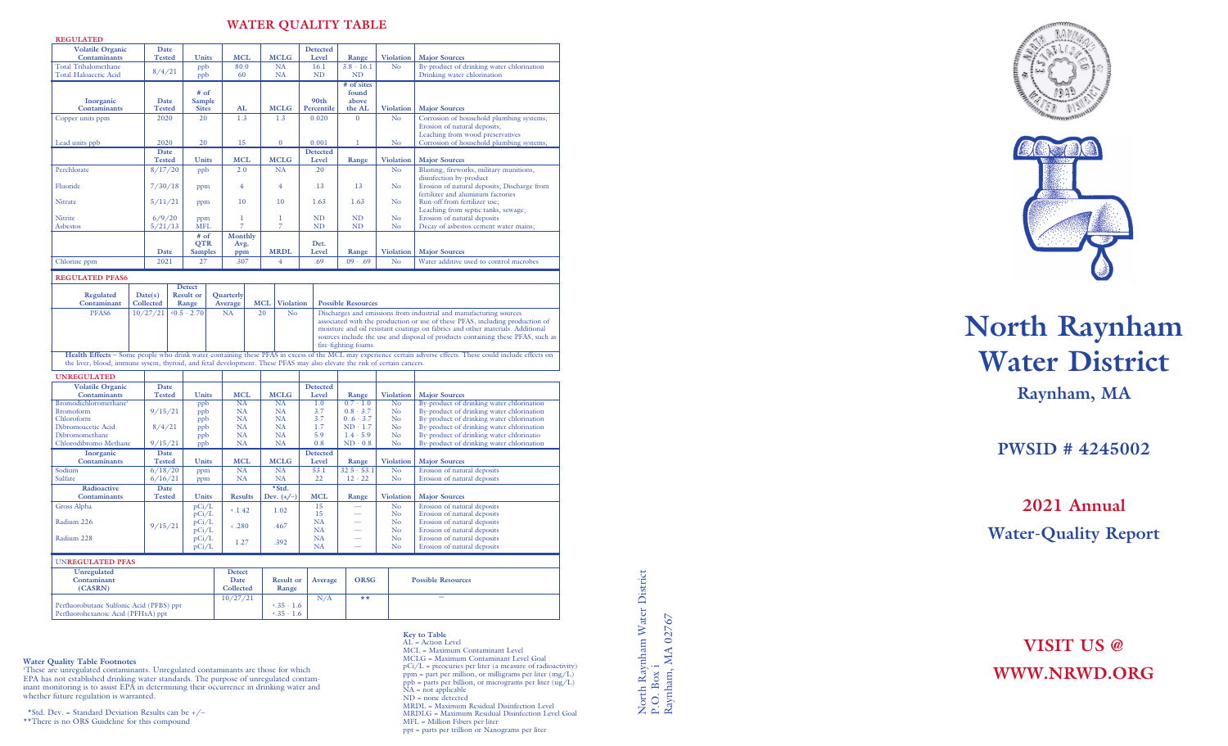### **WATER QUALITY TABLE**

| <b>REGULATED</b>                                                                                                         |                                                   |                        |                      |                  |                             |                 |                                |                  |            |                                                                                                                                                                   |                            |                  |                                                                                                                                                                |  |
|--------------------------------------------------------------------------------------------------------------------------|---------------------------------------------------|------------------------|----------------------|------------------|-----------------------------|-----------------|--------------------------------|------------------|------------|-------------------------------------------------------------------------------------------------------------------------------------------------------------------|----------------------------|------------------|----------------------------------------------------------------------------------------------------------------------------------------------------------------|--|
| <b>Volatile Organic</b><br>Contaminants                                                                                  |                                                   | Date<br><b>Tested</b>  |                      | Units            |                             | <b>MCL</b>      | <b>MCLG</b>                    |                  |            | <b>Detected</b><br>Level                                                                                                                                          | Range                      | <b>Violation</b> | <b>Major Sources</b>                                                                                                                                           |  |
| <b>Total Trihalomethane</b><br><b>Total Haloacetic Acid</b>                                                              |                                                   |                        | ppb<br>8/4/21<br>ppb |                  |                             | 80.0<br>60      | <b>NA</b><br><b>NA</b>         |                  |            | 16.1<br><b>ND</b>                                                                                                                                                 | $3.8 - 16.1$<br><b>ND</b>  | No               | By-product of drinking water chlorination<br>Drinking water chlorination                                                                                       |  |
|                                                                                                                          |                                                   |                        |                      |                  |                             |                 |                                |                  |            |                                                                                                                                                                   | # of sites                 |                  |                                                                                                                                                                |  |
| Inorganic                                                                                                                |                                                   | Date                   |                      | $#$ of<br>Sample |                             |                 |                                |                  |            | 90th                                                                                                                                                              | found<br>above             |                  |                                                                                                                                                                |  |
| Contaminants                                                                                                             |                                                   | <b>Tested</b>          |                      | <b>Sites</b>     |                             | AL              | <b>MCLG</b>                    |                  |            | Percentile                                                                                                                                                        | the AL                     | <b>Violation</b> | <b>Major Sources</b>                                                                                                                                           |  |
| Copper units ppm                                                                                                         |                                                   | 2020                   |                      | 20               |                             | 1.3             | 1.3                            |                  |            | 0.020                                                                                                                                                             | $\mathbf{0}$               | No               | Corrosion of household plumbing systems;                                                                                                                       |  |
|                                                                                                                          |                                                   |                        |                      |                  |                             |                 |                                |                  |            |                                                                                                                                                                   |                            |                  | Erosion of natural deposits;                                                                                                                                   |  |
| Lead units ppb                                                                                                           |                                                   | 2020                   |                      | 20               |                             | 15              | $\bf{0}$                       |                  |            | 0.001                                                                                                                                                             | ı                          | No               | Leaching from wood preservatives<br>Corrosion of household plumbing systems;                                                                                   |  |
|                                                                                                                          |                                                   | Date                   |                      |                  |                             |                 |                                |                  |            | <b>Detected</b>                                                                                                                                                   |                            |                  |                                                                                                                                                                |  |
|                                                                                                                          |                                                   |                        | <b>Tested</b>        |                  | <b>Units</b>                | <b>MCL</b>      |                                | <b>MCLG</b>      |            | Level                                                                                                                                                             | Range                      | <b>Violation</b> | <b>Major Sources</b>                                                                                                                                           |  |
| Perchlorate                                                                                                              |                                                   |                        | 8/17/20              |                  |                             | 2.0             | <b>NA</b>                      |                  |            | .20                                                                                                                                                               |                            | N <sub>o</sub>   | Blasting, fireworks, military munitions,<br>disinfection by-product                                                                                            |  |
| Fluoride                                                                                                                 |                                                   | 7/30/18                |                      | ppm              |                             | 4               | $\overline{4}$                 |                  |            | .13                                                                                                                                                               | .13                        | No               | Erosion of natural deposits; Discharge from                                                                                                                    |  |
|                                                                                                                          |                                                   |                        |                      |                  |                             |                 |                                |                  |            |                                                                                                                                                                   |                            |                  | fertilizer and aluminum factories                                                                                                                              |  |
| Nitrate                                                                                                                  |                                                   | 5/11/21                |                      | ppm              |                             | 10              | 10                             |                  | 1.63       |                                                                                                                                                                   | 1.63                       | No               | Run-off from fertilizer use;<br>Leaching from septic tanks, sewage;                                                                                            |  |
| Nitrite                                                                                                                  |                                                   | 6/9/20                 |                      | ppm              |                             | $\mathbf{I}$    | 1                              |                  |            | <b>ND</b>                                                                                                                                                         | <b>ND</b>                  | N <sub>o</sub>   | Erosion of natural deposits                                                                                                                                    |  |
| Asbestos                                                                                                                 | 5/21/13                                           |                        |                      | <b>MFL</b>       |                             | $\overline{7}$  | $\overline{7}$                 |                  |            | <b>ND</b>                                                                                                                                                         | ND                         | No               | Decay of asbestos cement water mains;                                                                                                                          |  |
|                                                                                                                          |                                                   |                        |                      | # of<br>QTR      |                             | Monthly<br>Avg. |                                |                  |            | Det.                                                                                                                                                              |                            |                  |                                                                                                                                                                |  |
|                                                                                                                          |                                                   | Date                   |                      | <b>Samples</b>   |                             | ppm             | <b>MRDL</b>                    |                  |            | Level                                                                                                                                                             | Range                      | <b>Violation</b> | <b>Major Sources</b>                                                                                                                                           |  |
| Chlorine ppm                                                                                                             |                                                   | 2021                   |                      | 27               |                             | .307            | $\overline{4}$                 |                  |            | .69                                                                                                                                                               | $.09-.69$                  | No               | Water additive used to control microbes                                                                                                                        |  |
| <b>REGULATED PFAS6</b>                                                                                                   |                                                   |                        |                      |                  |                             |                 |                                |                  |            |                                                                                                                                                                   |                            |                  |                                                                                                                                                                |  |
|                                                                                                                          |                                                   |                        |                      | <b>Detect</b>    |                             |                 |                                |                  |            |                                                                                                                                                                   |                            |                  |                                                                                                                                                                |  |
| <b>Regulated</b><br>Contaminant                                                                                          | Date(s)<br><b>Result or</b><br>Collected<br>Range |                        |                      |                  | <b>Quarterly</b><br>Average |                 | <b>MCL</b><br><b>Violation</b> |                  |            | <b>Possible Resources</b>                                                                                                                                         |                            |                  |                                                                                                                                                                |  |
| PFAS6                                                                                                                    |                                                   | 10/27/21<br>$5 - 2.70$ |                      |                  |                             | NA              |                                | 20<br>No         |            | Discharges and emissions from industrial and manufacturing sources                                                                                                |                            |                  |                                                                                                                                                                |  |
|                                                                                                                          |                                                   |                        |                      |                  |                             |                 |                                |                  |            | associated with the production or use of these PFAS, including production of                                                                                      |                            |                  |                                                                                                                                                                |  |
|                                                                                                                          |                                                   |                        |                      |                  |                             |                 |                                |                  |            | moisture and oil resistant coatings on fabrics and other materials. Additional<br>sources include the use and disposal of products containing these PFAS, such as |                            |                  |                                                                                                                                                                |  |
| fire-fighting foams.                                                                                                     |                                                   |                        |                      |                  |                             |                 |                                |                  |            |                                                                                                                                                                   |                            |                  |                                                                                                                                                                |  |
| the liver, blood, immune sysem, thyroid, and fetal development. These PFAS may also elevate the risk of certain cancers. |                                                   |                        |                      |                  |                             |                 |                                |                  |            |                                                                                                                                                                   |                            |                  | Health Effects - Some people who drink water containing these PFAS in excess of the MCL may experience certain adverse effects. These could include effects on |  |
| <b>UNREGULATED</b>                                                                                                       |                                                   |                        |                      |                  |                             |                 |                                |                  |            |                                                                                                                                                                   |                            |                  |                                                                                                                                                                |  |
| <b>Volatile Organic</b>                                                                                                  |                                                   | Date                   |                      |                  |                             |                 |                                |                  |            | Detected                                                                                                                                                          |                            |                  |                                                                                                                                                                |  |
| Contaminants                                                                                                             |                                                   | <b>Tested</b>          |                      | Units            |                             | <b>MCL</b>      | <b>MCLG</b>                    |                  |            | Level                                                                                                                                                             | Range                      | <b>Violation</b> | <b>Major Sources</b>                                                                                                                                           |  |
| Bromodichloromethane <sup>1</sup>                                                                                        |                                                   |                        |                      | ppb              |                             | <b>NA</b>       | NA                             |                  |            | 1.0                                                                                                                                                               | $0.7 - 1.0$                | No               | By-product of drinking water chlorination                                                                                                                      |  |
| <b>Bromoform</b><br>Chloroform                                                                                           |                                                   | 9/15/21                |                      | ppb<br>ppb       |                             | NA<br>NA        | NA<br><b>NA</b>                |                  |            | 3.7<br>3.7                                                                                                                                                        | $0.8 - 3.7$<br>$0.6 - 3.7$ | No<br>No         | By-product of drinking water chlorination<br>By-product of drinking water chlorination                                                                         |  |
| Dibromoacetic Acid                                                                                                       |                                                   | 8/4/21                 |                      | ppb              |                             | NA              | <b>NA</b>                      |                  |            | 1.7                                                                                                                                                               | $ND - 1.7$                 | No               | By-product of drinking water chlorination                                                                                                                      |  |
| Dibromomethane<br>Chlorodibromo Methane                                                                                  |                                                   |                        |                      | ppb              |                             | NA              | <b>NA</b><br><b>NA</b>         |                  | 5.9<br>0.8 |                                                                                                                                                                   | $1.4 - 5.9$                | No               | By-product of drinking water chlorinatio                                                                                                                       |  |
| Inorganic                                                                                                                |                                                   | 9/15/21<br>Date        |                      | ppb              |                             | NA              |                                |                  |            | Detected                                                                                                                                                          | $ND - 0.8$                 | No               | By-product of drinking water chlorination                                                                                                                      |  |
| Contaminants                                                                                                             |                                                   | <b>Tested</b>          |                      | <b>Units</b>     |                             | <b>MCL</b>      | <b>MCLG</b>                    |                  |            | Level                                                                                                                                                             | Range                      | <b>Violation</b> | <b>Major Sources</b>                                                                                                                                           |  |
| Sodium                                                                                                                   |                                                   | 6/18/20                |                      | ppm              |                             | NA              | NA                             |                  |            | 53.1                                                                                                                                                              | $32.5 - 53.1$              | No               | Erosion of natural deposits                                                                                                                                    |  |
| Sulfate<br>Radioactive                                                                                                   |                                                   | 6/16/21<br><b>Date</b> |                      | ppm              |                             | <b>NA</b>       | <b>NA</b><br>*Std.             |                  |            | 22                                                                                                                                                                | $12 - 22$                  | No               | Erosion of natural deposits                                                                                                                                    |  |
| Contaminants                                                                                                             |                                                   | <b>Tested</b>          |                      | Units            |                             | <b>Results</b>  | Dev. $(+/-)$                   |                  |            | <b>MCL</b>                                                                                                                                                        | Range                      | <b>Violation</b> | <b>Major Sources</b>                                                                                                                                           |  |
| Gross Alpha                                                                                                              |                                                   |                        |                      | pCi/L            |                             | $\langle .1.42$ | 1.02                           |                  |            | 15                                                                                                                                                                |                            | No               | Erosion of natural deposits                                                                                                                                    |  |
| Radium 226                                                                                                               |                                                   |                        |                      | pCi/L<br>pCi/L   |                             |                 |                                |                  |            | 15<br><b>NA</b>                                                                                                                                                   |                            | No<br>No         | Erosion of natural deposits<br>Erosion of natural deposits                                                                                                     |  |
|                                                                                                                          |                                                   | 9/15/21                |                      | pCi/L            |                             | $-.280$         | .467                           |                  |            | <b>NA</b>                                                                                                                                                         |                            | N <sub>o</sub>   | Erosion of natural deposits                                                                                                                                    |  |
| Radium 228                                                                                                               |                                                   |                        |                      | pCi/L<br>pCi/L   |                             | 1.27            | .392                           |                  |            | <b>NA</b><br><b>NA</b>                                                                                                                                            |                            | No<br>No         | Erosion of natural deposits<br>Erosion of natural deposits                                                                                                     |  |
|                                                                                                                          |                                                   |                        |                      |                  |                             |                 |                                |                  |            |                                                                                                                                                                   |                            |                  |                                                                                                                                                                |  |
| <b>UNREGULATED PFAS</b><br>Unregulated                                                                                   |                                                   |                        |                      |                  |                             | <b>Detect</b>   |                                |                  |            |                                                                                                                                                                   |                            |                  |                                                                                                                                                                |  |
| Contaminant                                                                                                              |                                                   |                        |                      |                  |                             | Date            |                                | <b>Result or</b> |            | Average                                                                                                                                                           | <b>ORSG</b>                |                  | <b>Possible Resources</b>                                                                                                                                      |  |
| (CASRN)                                                                                                                  |                                                   |                        |                      |                  |                             | Collected       |                                | Range            |            |                                                                                                                                                                   |                            |                  |                                                                                                                                                                |  |
| Perfluorobutane Sulfonic Acid (PFBS) ppt                                                                                 |                                                   |                        |                      |                  |                             | 10/27/21        |                                | $4.35 - 1.6$     |            | N/A                                                                                                                                                               | $* *$                      |                  |                                                                                                                                                                |  |
| Perfluorohexanoic Acid (PFHxA) ppt                                                                                       |                                                   |                        |                      |                  |                             | $5.35 - 1.6$    |                                |                  |            |                                                                                                                                                                   |                            |                  |                                                                                                                                                                |  |

#### **Water Quality Table Footnotes**

'These are unregulated contaminants. Unregulated contaminants are those for which<br>EPA has not established drinking water standards. The purpose of unregulated contam-<br>inant monitoring is to assist EPA in determining their whether future regulation is warranted.

\*Std. Dev. = Standard Deviation Results can be  $+$  /– \*\*There is no ORS Guideline for this compound

**Key to Table** AL = Action Level MCL = Maximum Contaminant Level MCLG = Maximum Contaminant Level Goal  $pCi/L = picocuries per liter (a measure of radioactivity)$ ppm = part per million, or milligrams per liter (mg/L) ppb = parts per billion, or micrograms per liter (ug/L) NA = not applicable ND = none detected MRDL = Maximum Residual Disinfection Level MRDLG = Maximum Residual Disinfection Level Goal MFL = Million Fibers per liter ppt = parts per trillion or Nanograms per liter

North Raynham Water District<br>P.O. Box i<br>Raynham, MA 02767 North Raynham Water District Raynham, MA 02767 P.O. Box i

# **North Raynham Water District**

**Raynham, MA**

**PWSID # 4245002**

## **2021 Annual Water-Quality Report**

**VISIT US @ WWW.NRWD.ORG**